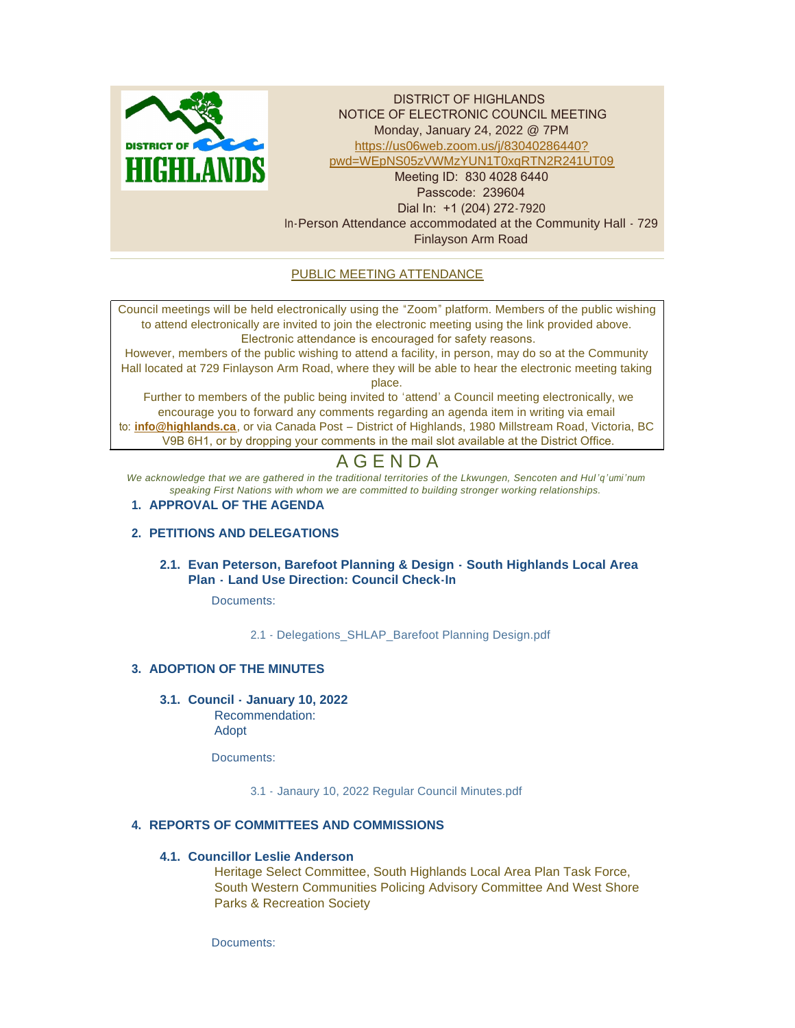

DISTRICT OF HIGHLANDS NOTICE OF ELECTRONIC COUNCIL MEETING Monday, January 24, 2022 @ 7PM https://us06web.zoom.us/j/83040286440? pwd[=WEpNS05zVWMzYUN1T0xqRTN2R241UT09](https://us06web.zoom.us/j/83040286440?pwd=WEpNS05zVWMzYUN1T0xqRTN2R241UT09) Meeting ID: 830 4028 6440 Passcode: 239604 Dial In: +1 (204) 272-7920 In-Person Attendance accommodated at the Community Hall - 729 Finlayson Arm Road

# PUBLIC MEETING ATTENDANCE

Council meetings will be held electronically using the "Zoom" platform. Members of the public wishing to attend electronically are invited to join the electronic meeting using the link provided above. Electronic attendance is encouraged for safety reasons.

However, members of the public wishing to attend a facility, in person, may do so at the Community Hall located at 729 Finlayson Arm Road, where they will be able to hear the electronic meeting taking place.

Further to members of the public being invited to 'attend' a Council meeting electronically, we encourage you to forward any comments regarding an agenda item in writing via email to: **[info@highlands.ca](mailto:info@highlands.ca)**, or via Canada Post – District of Highlands, 1980 Millstream Road, Victoria, BC V9B 6H1, or by dropping your comments in the mail slot available at the District Office.

# A G E N D A

*We acknowledge that we are gathered in the traditional territories of the Lkwungen, Sencoten and Hul 'q'umi'num speaking First Nations with whom we are committed to building stronger working relationships.*

# **APPROVAL OF THE AGENDA 1.**

# **PETITIONS AND DELEGATIONS 2.**

# **Evan Peterson, Barefoot Planning & Design - South Highlands Local Area 2.1. Plan - Land Use Direction: Council Check-In**

Documents:

2.1 - [Delegations\\_SHLAP\\_Barefoot Planning Design.pdf](https://www.highlands.ca/AgendaCenter/ViewFile/Item/6880?fileID=6630)

# **ADOPTION OF THE MINUTES 3.**

**Council - January 10, 2022 3.1.**

Recommendation: Adopt

Documents:

[3.1 - Janaury 10, 2022 Regular Council Minutes.pdf](https://www.highlands.ca/AgendaCenter/ViewFile/Item/6881?fileID=6624)

# **REPORTS OF COMMITTEES AND COMMISSIONS 4.**

#### **Councillor Leslie Anderson 4.1.**

Heritage Select Committee, South Highlands Local Area Plan Task Force, South Western Communities Policing Advisory Committee And West Shore Parks & Recreation Society

Documents: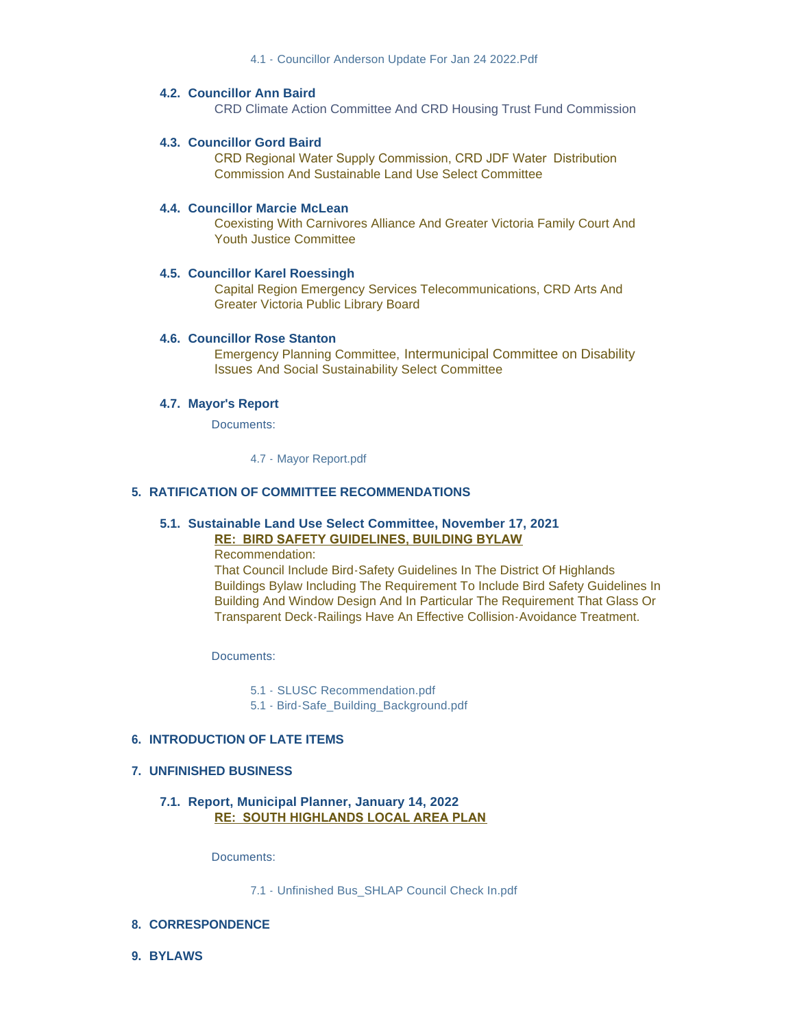#### **Councillor Ann Baird 4.2.**

CRD Climate Action Committee And CRD Housing Trust Fund Commission

### **Councillor Gord Baird 4.3.**

CRD Regional Water Supply Commission, CRD JDF Water Distribution Commission And Sustainable Land Use Select Committee

#### **Councillor Marcie McLean 4.4.**

Coexisting With Carnivores Alliance And Greater Victoria Family Court And Youth Justice Committee

#### **Councillor Karel Roessingh 4.5.**

Capital Region Emergency Services Telecommunications, CRD Arts And Greater Victoria Public Library Board

#### **4.6. Councillor Rose Stanton**

Emergency Planning Committee, Intermunicipal Committee on Disability Issues And Social Sustainability Select Committee

#### **Mayor's Report 4.7.**

Documents:

[4.7 - Mayor Report.pdf](https://www.highlands.ca/AgendaCenter/ViewFile/Item/6870?fileID=6626)

#### **RATIFICATION OF COMMITTEE RECOMMENDATIONS 5.**

# **Sustainable Land Use Select Committee, November 17, 2021 5.1.**

**RE: BIRD SAFETY GUIDELINES, BUILDING BYLAW**

Recommendation:

That Council Include Bird-Safety Guidelines In The District Of Highlands Buildings Bylaw Including The Requirement To Include Bird Safety Guidelines In Building And Window Design And In Particular The Requirement That Glass Or Transparent Deck-Railings Have An Effective Collision-Avoidance Treatment.

Documents:

[5.1 - SLUSC Recommendation.pdf](https://www.highlands.ca/AgendaCenter/ViewFile/Item/6882?fileID=6627)

[5.1 - Bird-Safe\\_Building\\_Background.pdf](https://www.highlands.ca/AgendaCenter/ViewFile/Item/6882?fileID=6632)

#### **INTRODUCTION OF LATE ITEMS 6.**

#### **UNFINISHED BUSINESS 7.**

**Report, Municipal Planner, January 14, 2022 7.1. RE: SOUTH HIGHLANDS LOCAL AREA PLAN**

Documents:

[7.1 - Unfinished Bus\\_SHLAP Council Check In.pdf](https://www.highlands.ca/AgendaCenter/ViewFile/Item/6883?fileID=6628)

#### **CORRESPONDENCE 8.**

**BYLAWS 9.**